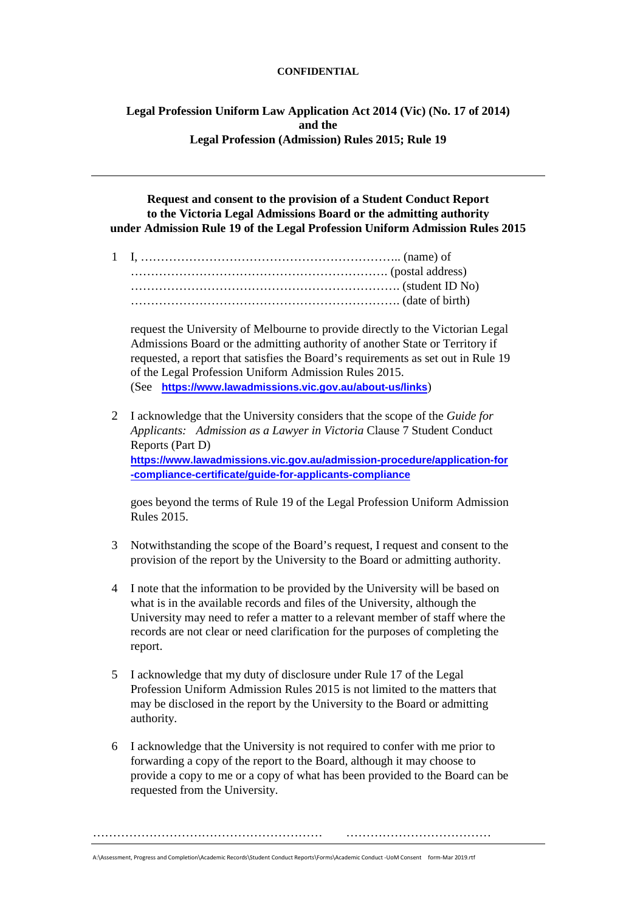## **CONFIDENTIAL**

**Legal Profession Uniform Law Application Act 2014 (Vic) (No. 17 of 2014) and the Legal Profession (Admission) Rules 2015; Rule 19**

**Request and consent to the provision of a Student Conduct Report to the Victoria Legal Admissions Board or the admitting authority under Admission Rule 19 of the Legal Profession Uniform Admission Rules 2015**

1 I, ……………………………………………………….. (name) of ………………………………………………………. (postal address) …………………………………………………………. (student ID No) …………………………………………………………. (date of birth)

request the University of Melbourne to provide directly to the Victorian Legal Admissions Board or the admitting authority of another State or Territory if requested, a report that satisfies the Board's requirements as set out in Rule 19 of the Legal Profession Uniform Admission Rules 2015. (See **[https://www.lawadmissions.vic.gov.au/about-us/links](https://protect-au.mimecast.com/s/jNGwCr8Dz5sljo2pF7RHdr?domain=lawadmissions.vic.gov.au)**)

2 I acknowledge that the University considers that the scope of the *Guide for Applicants: Admission as a Lawyer in Victoria* Clause 7 Student Conduct Reports (Part D) **[https://www.lawadmissions.vic.gov.au/admission-procedure/application-for](https://protect-au.mimecast.com/s/gv6KCvl0E5uzgKAGTXhBj_?domain=lawadmissions.vic.gov.au) [-compliance-certificate/guide-for-applicants-compliance](https://protect-au.mimecast.com/s/gv6KCvl0E5uzgKAGTXhBj_?domain=lawadmissions.vic.gov.au)**

goes beyond the terms of Rule 19 of the Legal Profession Uniform Admission Rules 2015.

- 3 Notwithstanding the scope of the Board's request, I request and consent to the provision of the report by the University to the Board or admitting authority.
- 4 I note that the information to be provided by the University will be based on what is in the available records and files of the University, although the University may need to refer a matter to a relevant member of staff where the records are not clear or need clarification for the purposes of completing the report.
- 5 I acknowledge that my duty of disclosure under Rule 17 of the Legal Profession Uniform Admission Rules 2015 is not limited to the matters that may be disclosed in the report by the University to the Board or admitting authority.
- 6 I acknowledge that the University is not required to confer with me prior to forwarding a copy of the report to the Board, although it may choose to provide a copy to me or a copy of what has been provided to the Board can be requested from the University.

………………………………………………… ………………………………

A:\Assessment, Progress and Completion\Academic Records\Student Conduct Reports\Forms\Academic Conduct -UoM Consent form-Mar 2019.rtf